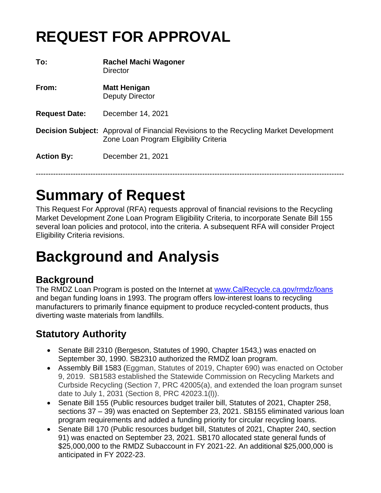# **REQUEST FOR APPROVAL**

| To:                  | <b>Rachel Machi Wagoner</b><br>Director                                                                                                |
|----------------------|----------------------------------------------------------------------------------------------------------------------------------------|
| From:                | <b>Matt Henigan</b><br><b>Deputy Director</b>                                                                                          |
| <b>Request Date:</b> | December 14, 2021                                                                                                                      |
|                      | <b>Decision Subject:</b> Approval of Financial Revisions to the Recycling Market Development<br>Zone Loan Program Eligibility Criteria |
| <b>Action By:</b>    | December 21, 2021                                                                                                                      |
|                      |                                                                                                                                        |

## **Summary of Request**

This Request For Approval (RFA) requests approval of financial revisions to the Recycling Market Development Zone Loan Program Eligibility Criteria, to incorporate Senate Bill 155 several loan policies and protocol, into the criteria. A subsequent RFA will consider Project Eligibility Criteria revisions.

# **Background and Analysis**

## **Background**

The RMDZ Loan Program is posted on the Internet at [www.CalRecycle.ca.gov/rmdz/loans](http://www.calrecycle.ca.gov/rmdz/loans) and began funding loans in 1993. The program offers low-interest loans to recycling manufacturers to primarily finance equipment to produce recycled-content products, thus diverting waste materials from landfills.

## **Statutory Authority**

- Senate Bill 2310 (Bergeson, Statutes of 1990, Chapter 1543,) was enacted on September 30, 1990. SB2310 authorized the RMDZ loan program.
- Assembly Bill 1583 (Eggman, Statutes of 2019, Chapter 690) was enacted on October 9, 2019. SB1583 established the Statewide Commission on Recycling Markets and Curbside Recycling (Section 7, PRC 42005(a), and extended the loan program sunset date to July 1, 2031 (Section 8, PRC 42023.1(l)).
- Senate Bill 155 (Public resources budget trailer bill, Statutes of 2021, Chapter 258, sections 37 – 39) was enacted on September 23, 2021. SB155 eliminated various loan program requirements and added a funding priority for circular recycling loans.
- Senate Bill 170 (Public resources budget bill, Statutes of 2021, Chapter 240, section 91) was enacted on September 23, 2021. SB170 allocated state general funds of \$25,000,000 to the RMDZ Subaccount in FY 2021-22. An additional \$25,000,000 is anticipated in FY 2022-23.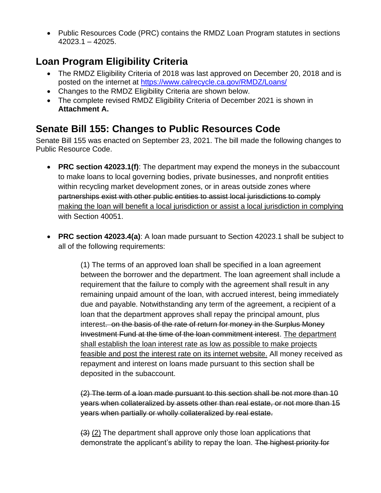• Public Resources Code (PRC) contains the RMDZ Loan Program statutes in sections 42023.1 – 42025.

## **Loan Program Eligibility Criteria**

- The RMDZ Eligibility Criteria of 2018 was last approved on December 20, 2018 and is posted on the internet at<https://www.calrecycle.ca.gov/RMDZ/Loans/>
- Changes to the RMDZ Eligibility Criteria are shown below.
- The complete revised RMDZ Eligibility Criteria of December 2021 is shown in **Attachment A.**

## **Senate Bill 155: Changes to Public Resources Code**

Senate Bill 155 was enacted on September 23, 2021. The bill made the following changes to Public Resource Code.

- **PRC section 42023.1(f)**: The department may expend the moneys in the subaccount to make loans to local governing bodies, private businesses, and nonprofit entities within recycling market development zones, or in areas outside zones where partnerships exist with other public entities to assist local jurisdictions to comply making the loan will benefit a local jurisdiction or assist a local jurisdiction in complying with Section 40051.
- **PRC section 42023.4(a)**: A loan made pursuant to Section 42023.1 shall be subject to all of the following requirements:

(1) The terms of an approved loan shall be specified in a loan agreement between the borrower and the department. The loan agreement shall include a requirement that the failure to comply with the agreement shall result in any remaining unpaid amount of the loan, with accrued interest, being immediately due and payable. Notwithstanding any term of the agreement, a recipient of a loan that the department approves shall repay the principal amount, plus interest. on the basis of the rate of return for money in the Surplus Money Investment Fund at the time of the loan commitment interest. The department shall establish the loan interest rate as low as possible to make projects feasible and post the interest rate on its internet website. All money received as repayment and interest on loans made pursuant to this section shall be deposited in the subaccount.

(2) The term of a loan made pursuant to this section shall be not more than 10 years when collateralized by assets other than real estate, or not more than 15 years when partially or wholly collateralized by real estate.

(3) (2) The department shall approve only those loan applications that demonstrate the applicant's ability to repay the loan. The highest priority for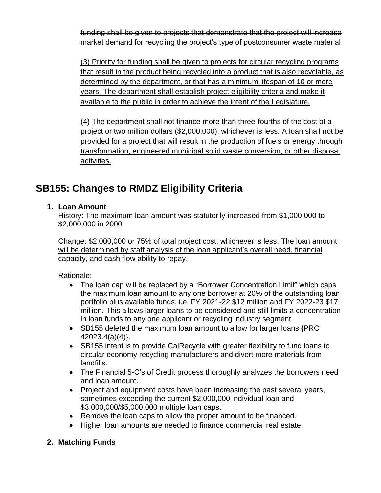funding shall be given to projects that demonstrate that the project will increase market demand for recycling the project's type of postconsumer waste material.

(3) Priority for funding shall be given to projects for circular recycling programs that result in the product being recycled into a product that is also recyclable, as determined by the department, or that has a minimum lifespan of 10 or more years. The department shall establish project eligibility criteria and make it available to the public in order to achieve the intent of the Legislature.

(4) The department shall not finance more than three-fourths of the cost of a project or two million dollars (\$2,000,000), whichever is less. A loan shall not be provided for a project that will result in the production of fuels or energy through transformation, engineered municipal solid waste conversion, or other disposal activities.

## **SB155: Changes to RMDZ Eligibility Criteria**

#### **1. Loan Amount**

History: The maximum loan amount was statutorily increased from \$1,000,000 to \$2,000,000 in 2000.

Change: \$2,000,000 or 75% of total project cost, whichever is less. The loan amount will be determined by staff analysis of the loan applicant's overall need, financial capacity, and cash flow ability to repay.

Rationale:

- The loan cap will be replaced by a "Borrower Concentration Limit" which caps the maximum loan amount to any one borrower at 20% of the outstanding loan portfolio plus available funds, i.e. FY 2021-22 \$12 million and FY 2022-23 \$17 million. This allows larger loans to be considered and still limits a concentration in loan funds to any one applicant or recycling industry segment.
- SB155 deleted the maximum loan amount to allow for larger loans {PRC 42023.4(a)(4)}.
- SB155 intent is to provide CalRecycle with greater flexibility to fund loans to circular economy recycling manufacturers and divert more materials from landfills.
- The Financial 5-C's of Credit process thoroughly analyzes the borrowers need and loan amount.
- Project and equipment costs have been increasing the past several years, sometimes exceeding the current \$2,000,000 individual loan and \$3,000,000/\$5,000,000 multiple loan caps.
- Remove the loan caps to allow the proper amount to be financed.
- Higher loan amounts are needed to finance commercial real estate.

#### **2. Matching Funds**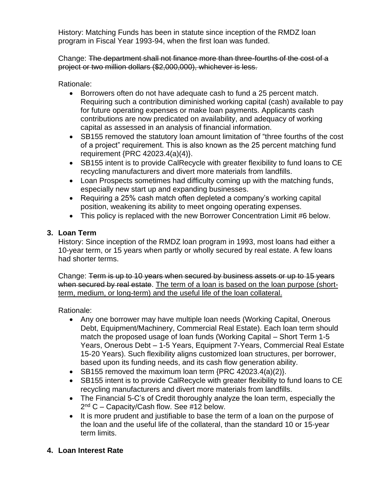History: Matching Funds has been in statute since inception of the RMDZ loan program in Fiscal Year 1993-94, when the first loan was funded.

Change: The department shall not finance more than three-fourths of the cost of a project or two million dollars (\$2,000,000), whichever is less.

Rationale:

- Borrowers often do not have adequate cash to fund a 25 percent match. Requiring such a contribution diminished working capital (cash) available to pay for future operating expenses or make loan payments. Applicants cash contributions are now predicated on availability, and adequacy of working capital as assessed in an analysis of financial information.
- SB155 removed the statutory loan amount limitation of "three fourths of the cost of a project" requirement. This is also known as the 25 percent matching fund requirement {PRC 42023.4(a)(4)}.
- SB155 intent is to provide CalRecycle with greater flexibility to fund loans to CE recycling manufacturers and divert more materials from landfills.
- Loan Prospects sometimes had difficulty coming up with the matching funds, especially new start up and expanding businesses.
- Requiring a 25% cash match often depleted a company's working capital position, weakening its ability to meet ongoing operating expenses.
- This policy is replaced with the new Borrower Concentration Limit #6 below.

#### **3. Loan Term**

History: Since inception of the RMDZ loan program in 1993, most loans had either a 10-year term, or 15 years when partly or wholly secured by real estate. A few loans had shorter terms.

Change: Term is up to 10 years when secured by business assets or up to 15 years when secured by real estate. The term of a loan is based on the loan purpose (shortterm, medium, or long-term) and the useful life of the loan collateral.

Rationale:

- Any one borrower may have multiple loan needs (Working Capital, Onerous Debt, Equipment/Machinery, Commercial Real Estate). Each loan term should match the proposed usage of loan funds (Working Capital – Short Term 1-5 Years, Onerous Debt – 1-5 Years, Equipment 7-Years, Commercial Real Estate 15-20 Years). Such flexibility aligns customized loan structures, per borrower, based upon its funding needs, and its cash flow generation ability.
- SB155 removed the maximum loan term {PRC 42023.4(a)(2)}.
- SB155 intent is to provide CalRecycle with greater flexibility to fund loans to CE recycling manufacturers and divert more materials from landfills.
- The Financial 5-C's of Credit thoroughly analyze the loan term, especially the 2<sup>nd</sup> C – Capacity/Cash flow. See #12 below.
- It is more prudent and justifiable to base the term of a loan on the purpose of the loan and the useful life of the collateral, than the standard 10 or 15-year term limits.
- **4. Loan Interest Rate**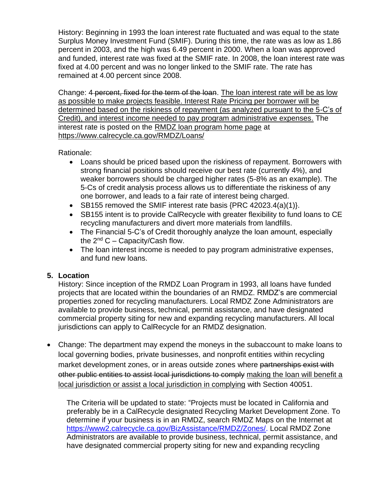History: Beginning in 1993 the loan interest rate fluctuated and was equal to the state Surplus Money Investment Fund (SMIF). During this time, the rate was as low as 1.86 percent in 2003, and the high was 6.49 percent in 2000. When a loan was approved and funded, interest rate was fixed at the SMIF rate. In 2008, the loan interest rate was fixed at 4.00 percent and was no longer linked to the SMIF rate. The rate has remained at 4.00 percent since 2008.

Change: 4 percent, fixed for the term of the loan. The loan interest rate will be as low as possible to make projects feasible. Interest Rate Pricing per borrower will be determined based on the riskiness of repayment (as analyzed pursuant to the 5-C's of Credit), and interest income needed to pay program administrative expenses. The interest rate is posted on the [RMDZ loan program home page](https://www.calrecycle.ca.gov/RMDZ/Loans/) at <https://www.calrecycle.ca.gov/RMDZ/Loans/>

Rationale:

- Loans should be priced based upon the riskiness of repayment. Borrowers with strong financial positions should receive our best rate (currently 4%), and weaker borrowers should be charged higher rates (5-8% as an example). The 5-Cs of credit analysis process allows us to differentiate the riskiness of any one borrower, and leads to a fair rate of interest being charged.
- SB155 removed the SMIF interest rate basis {PRC 42023.4(a)(1)}.
- SB155 intent is to provide CalRecycle with greater flexibility to fund loans to CE recycling manufacturers and divert more materials from landfills.
- The Financial 5-C's of Credit thoroughly analyze the loan amount, especially the  $2^{nd}$  C – Capacity/Cash flow.
- The loan interest income is needed to pay program administrative expenses, and fund new loans.

#### **5. Location**

History: Since inception of the RMDZ Loan Program in 1993, all loans have funded projects that are located within the boundaries of an RMDZ. RMDZ's are commercial properties zoned for recycling manufacturers. Local RMDZ Zone Administrators are available to provide business, technical, permit assistance, and have designated commercial property siting for new and expanding recycling manufacturers. All local jurisdictions can apply to CalRecycle for an RMDZ designation.

• Change: The department may expend the moneys in the subaccount to make loans to local governing bodies, private businesses, and nonprofit entities within recycling market development zones, or in areas outside zones where partnerships exist with other public entities to assist local jurisdictions to comply making the loan will benefit a local jurisdiction or assist a local jurisdiction in complying with Section 40051.

The Criteria will be updated to state: "Projects must be located in California and preferably be in a CalRecycle designated Recycling Market Development Zone. To determine if your business is in an RMDZ, search RMDZ Maps on the Internet at [https://www2.calrecycle.ca.gov/BizAssistance/RMDZ/Zones/.](https://www2.calrecycle.ca.gov/BizAssistance/RMDZ/Zones/) Local RMDZ Zone Administrators are available to provide business, technical, permit assistance, and have designated commercial property siting for new and expanding recycling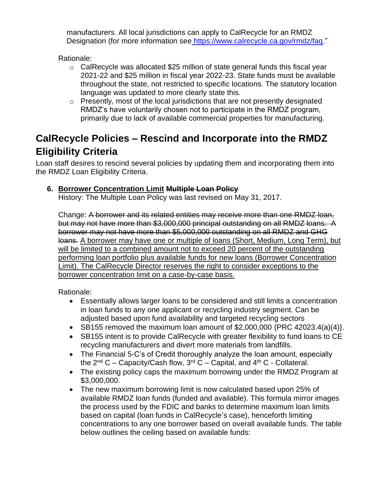manufacturers. All local jurisdictions can apply to CalRecycle for an RMDZ Designation (for more information see [https://www.calrecycle.ca.gov/rmdz/faq.](https://www.calrecycle.ca.gov/rmdz/faq)"

Rationale:

- o CalRecycle was allocated \$25 million of state general funds this fiscal year 2021-22 and \$25 million in fiscal year 2022-23. State funds must be available throughout the state, not restricted to specific locations. The statutory location language was updated to more clearly state this.
- $\circ$  Presently, most of the local jurisdictions that are not presently designated RMDZ's have voluntarily chosen not to participate in the RMDZ program, primarily due to lack of available commercial properties for manufacturing.

### **CalRecycle Policies – Rescind and Incorporate into the RMDZ Eligibility Criteria**

Loan staff desires to rescind several policies by updating them and incorporating them into the RMDZ Loan Eligibility Criteria.

#### **6. Borrower Concentration Limit Multiple Loan Policy**

History: The Multiple Loan Policy was last revised on May 31, 2017.

Change: A borrower and its related entities may receive more than one RMDZ loan, but may not have more than \$3,000,000 principal outstanding on all RMDZ loans. A borrower may not have more than \$5,000,000 outstanding on all RMDZ and GHG loans. A borrower may have one or multiple of loans (Short, Medium, Long Term), but will be limited to a combined amount not to exceed 20 percent of the outstanding performing loan portfolio plus available funds for new loans (Borrower Concentration Limit). The CalRecycle Director reserves the right to consider exceptions to the borrower concentration limit on a case-by-case basis.

Rationale:

- Essentially allows larger loans to be considered and still limits a concentration in loan funds to any one applicant or recycling industry segment. Can be adjusted based upon fund availability and targeted recycling sectors
- SB155 removed the maximum loan amount of  $$2,000,000$  {PRC 42023.4(a)(4)}.
- SB155 intent is to provide CalRecycle with greater flexibility to fund loans to CE recycling manufacturers and divert more materials from landfills.
- The Financial 5-C's of Credit thoroughly analyze the loan amount, especially the  $2^{nd}$  C – Capacity/Cash flow,  $3^{rd}$  C – Capital, and  $4^{th}$  C - Collateral.
- The existing policy caps the maximum borrowing under the RMDZ Program at \$3,000,000.
- The new maximum borrowing limit is now calculated based upon 25% of available RMDZ loan funds (funded and available). This formula mirror images the process used by the FDIC and banks to determine maximum loan limits based on capital (loan funds in CalRecycle's case), henceforth limiting concentrations to any one borrower based on overall available funds. The table below outlines the ceiling based on available funds: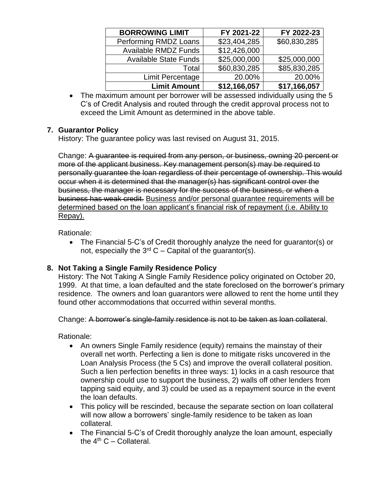| <b>BORROWING LIMIT</b>       | FY 2021-22   | FY 2022-23   |
|------------------------------|--------------|--------------|
| Performing RMDZ Loans        | \$23,404,285 | \$60,830,285 |
| <b>Available RMDZ Funds</b>  | \$12,426,000 |              |
| <b>Available State Funds</b> | \$25,000,000 | \$25,000,000 |
| Total                        | \$60,830,285 | \$85,830,285 |
| Limit Percentage             | 20.00%       | 20.00%       |
| <b>Limit Amount</b>          | \$12,166,057 | \$17,166,057 |

• The maximum amount per borrower will be assessed individually using the 5 C's of Credit Analysis and routed through the credit approval process not to exceed the Limit Amount as determined in the above table.

#### **7. Guarantor Policy**

History: The guarantee policy was last revised on August 31, 2015.

Change: A guarantee is required from any person, or business, owning 20 percent or more of the applicant business. Key management person(s) may be required to personally guarantee the loan regardless of their percentage of ownership. This would occur when it is determined that the manager(s) has significant control over the business, the manager is necessary for the success of the business, or when a business has weak credit. Business and/or personal guarantee requirements will be determined based on the loan applicant's financial risk of repayment (i.e. Ability to Repay).

Rationale:

• The Financial 5-C's of Credit thoroughly analyze the need for guarantor(s) or not, especially the  $3^{rd}$  C – Capital of the guarantor(s).

#### **8. Not Taking a Single Family Residence Policy**

History: The Not Taking A Single Family Residence policy originated on October 20, 1999. At that time, a loan defaulted and the state foreclosed on the borrower's primary residence. The owners and loan guarantors were allowed to rent the home until they found other accommodations that occurred within several months.

Change: A borrower's single-family residence is not to be taken as loan collateral.

Rationale:

- An owners Single Family residence (equity) remains the mainstay of their overall net worth. Perfecting a lien is done to mitigate risks uncovered in the Loan Analysis Process (the 5 Cs) and improve the overall collateral position. Such a lien perfection benefits in three ways: 1) locks in a cash resource that ownership could use to support the business, 2) walls off other lenders from tapping said equity, and 3) could be used as a repayment source in the event the loan defaults.
- This policy will be rescinded, because the separate section on loan collateral will now allow a borrowers' single-family residence to be taken as loan collateral.
- The Financial 5-C's of Credit thoroughly analyze the loan amount, especially the  $4<sup>th</sup>$  C – Collateral.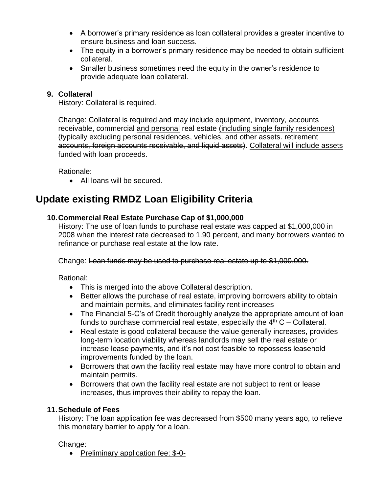- A borrower's primary residence as loan collateral provides a greater incentive to ensure business and loan success.
- The equity in a borrower's primary residence may be needed to obtain sufficient collateral.
- Smaller business sometimes need the equity in the owner's residence to provide adequate loan collateral.

#### **9. Collateral**

History: Collateral is required.

Change: Collateral is required and may include equipment, inventory, accounts receivable, commercial and personal real estate (including single family residences) (typically excluding personal residences, vehicles, and other assets. retirement accounts, foreign accounts receivable, and liquid assets). Collateral will include assets funded with loan proceeds.

Rationale:

• All loans will be secured.

### **Update existing RMDZ Loan Eligibility Criteria**

#### **10.Commercial Real Estate Purchase Cap of \$1,000,000**

History: The use of loan funds to purchase real estate was capped at \$1,000,000 in 2008 when the interest rate decreased to 1.90 percent, and many borrowers wanted to refinance or purchase real estate at the low rate.

Change: Loan funds may be used to purchase real estate up to \$1,000,000.

Rational:

- This is merged into the above Collateral description.
- Better allows the purchase of real estate, improving borrowers ability to obtain and maintain permits, and eliminates facility rent increases
- The Financial 5-C's of Credit thoroughly analyze the appropriate amount of loan funds to purchase commercial real estate, especially the  $4<sup>th</sup>$  C – Collateral.
- Real estate is good collateral because the value generally increases, provides long-term location viability whereas landlords may sell the real estate or increase lease payments, and it's not cost feasible to repossess leasehold improvements funded by the loan.
- Borrowers that own the facility real estate may have more control to obtain and maintain permits.
- Borrowers that own the facility real estate are not subject to rent or lease increases, thus improves their ability to repay the loan.

#### **11.Schedule of Fees**

History: The loan application fee was decreased from \$500 many years ago, to relieve this monetary barrier to apply for a loan.

Change:

• Preliminary application fee: \$-0-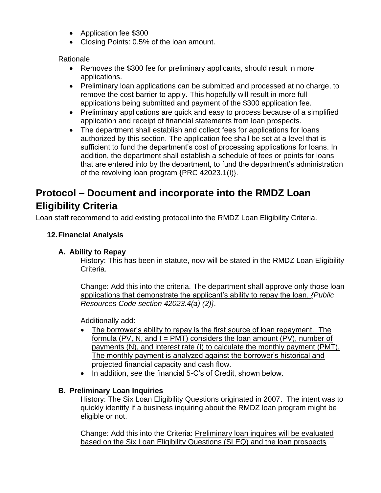- Application fee \$300
- Closing Points: 0.5% of the loan amount.

#### Rationale

- Removes the \$300 fee for preliminary applicants, should result in more applications.
- Preliminary loan applications can be submitted and processed at no charge, to remove the cost barrier to apply. This hopefully will result in more full applications being submitted and payment of the \$300 application fee.
- Preliminary applications are quick and easy to process because of a simplified application and receipt of financial statements from loan prospects.
- The department shall establish and collect fees for applications for loans authorized by this section. The application fee shall be set at a level that is sufficient to fund the department's cost of processing applications for loans. In addition, the department shall establish a schedule of fees or points for loans that are entered into by the department, to fund the department's administration of the revolving loan program {PRC 42023.1(I)}.

## **Protocol – Document and incorporate into the RMDZ Loan Eligibility Criteria**

Loan staff recommend to add existing protocol into the RMDZ Loan Eligibility Criteria.

#### **12.Financial Analysis**

#### **A. Ability to Repay**

History: This has been in statute, now will be stated in the RMDZ Loan Eligibility Criteria.

Change: Add this into the criteria. The department shall approve only those loan applications that demonstrate the applicant's ability to repay the loan. *{Public Resources Code section 42023.4(a) (2)}*.

Additionally add:

- The borrower's ability to repay is the first source of loan repayment. The formula (PV, N, and  $I = PMT$ ) considers the loan amount (PV), number of payments (N), and interest rate (I) to calculate the monthly payment (PMT). The monthly payment is analyzed against the borrower's historical and projected financial capacity and cash flow.
- In addition, see the financial 5-C's of Credit, shown below.

#### **B. Preliminary Loan Inquiries**

History: The Six Loan Eligibility Questions originated in 2007. The intent was to quickly identify if a business inquiring about the RMDZ loan program might be eligible or not.

Change: Add this into the Criteria: Preliminary loan inquires will be evaluated based on the Six Loan Eligibility Questions (SLEQ) and the loan prospects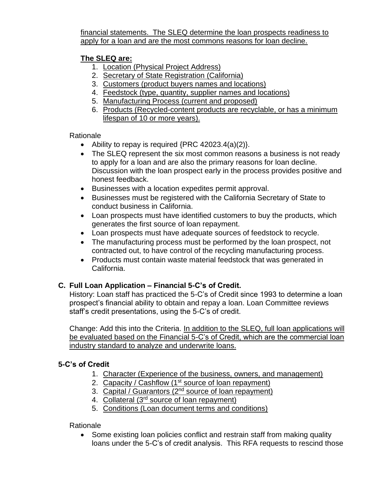financial statements. The SLEQ determine the loan prospects readiness to apply for a loan and are the most commons reasons for loan decline.

#### **The SLEQ are:**

- 1. Location (Physical Project Address)
- 2. Secretary of State Registration (California)
- 3. Customers (product buyers names and locations)
- 4. Feedstock (type, quantity, supplier names and locations)
- 5. Manufacturing Process (current and proposed)
- 6. Products (Recycled-content products are recyclable, or has a minimum lifespan of 10 or more years).

#### Rationale

- Ability to repay is required {PRC 42023.4(a)(2)}.
- The SLEQ represent the six most common reasons a business is not ready to apply for a loan and are also the primary reasons for loan decline. Discussion with the loan prospect early in the process provides positive and honest feedback.
- Businesses with a location expedites permit approval.
- Businesses must be registered with the California Secretary of State to conduct business in California.
- Loan prospects must have identified customers to buy the products, which generates the first source of loan repayment.
- Loan prospects must have adequate sources of feedstock to recycle.
- The manufacturing process must be performed by the loan prospect, not contracted out, to have control of the recycling manufacturing process.
- Products must contain waste material feedstock that was generated in California.

#### **C. Full Loan Application – Financial 5-C's of Credit.**

History: Loan staff has practiced the 5-C's of Credit since 1993 to determine a loan prospect's financial ability to obtain and repay a loan. Loan Committee reviews staff's credit presentations, using the 5-C's of credit.

Change: Add this into the Criteria. In addition to the SLEQ, full loan applications will be evaluated based on the Financial 5-C's of Credit, which are the commercial loan industry standard to analyze and underwrite loans.

#### **5-C's of Credit**

- 1. Character (Experience of the business, owners, and management)
- 2. Capacity / Cashflow (1<sup>st</sup> source of loan repayment)
- 3. Capital / Guarantors (2nd source of loan repayment)
- 4. Collateral (3<sup>rd</sup> source of loan repayment)
- 5. Conditions (Loan document terms and conditions)

Rationale

• Some existing loan policies conflict and restrain staff from making quality loans under the 5-C's of credit analysis. This RFA requests to rescind those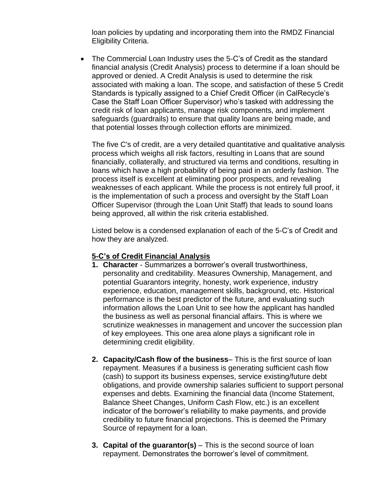loan policies by updating and incorporating them into the RMDZ Financial Eligibility Criteria.

• The Commercial Loan Industry uses the 5-C's of Credit as the standard financial analysis (Credit Analysis) process to determine if a loan should be approved or denied. A Credit Analysis is used to determine the risk associated with making a loan. The scope, and satisfaction of these 5 Credit Standards is typically assigned to a Chief Credit Officer (in CalRecycle's Case the Staff Loan Officer Supervisor) who's tasked with addressing the credit risk of loan applicants, manage risk components, and implement safeguards (guardrails) to ensure that quality loans are being made, and that potential losses through collection efforts are minimized.

The five C's of credit, are a very detailed quantitative and qualitative analysis process which weighs all risk factors, resulting in Loans that are sound financially, collaterally, and structured via terms and conditions, resulting in loans which have a high probability of being paid in an orderly fashion. The process itself is excellent at eliminating poor prospects, and revealing weaknesses of each applicant. While the process is not entirely full proof, it is the implementation of such a process and oversight by the Staff Loan Officer Supervisor (through the Loan Unit Staff) that leads to sound loans being approved, all within the risk criteria established.

Listed below is a condensed explanation of each of the 5-C's of Credit and how they are analyzed.

#### **5-C's of Credit Financial Analysis**

- **1. Character** Summarizes a borrower's overall trustworthiness, personality and creditability. Measures Ownership, Management, and potential Guarantors integrity, honesty, work experience, industry experience, education, management skills, background, etc. Historical performance is the best predictor of the future, and evaluating such information allows the Loan Unit to see how the applicant has handled the business as well as personal financial affairs. This is where we scrutinize weaknesses in management and uncover the succession plan of key employees. This one area alone plays a significant role in determining credit eligibility.
- **2. Capacity/Cash flow of the business** This is the first source of loan repayment. Measures if a business is generating sufficient cash flow (cash) to support its business expenses, service existing/future debt obligations, and provide ownership salaries sufficient to support personal expenses and debts. Examining the financial data (Income Statement, Balance Sheet Changes, Uniform Cash Flow, etc.) is an excellent indicator of the borrower's reliability to make payments, and provide credibility to future financial projections. This is deemed the Primary Source of repayment for a loan.
- **3. Capital of the guarantor(s)** This is the second source of loan repayment. Demonstrates the borrower's level of commitment.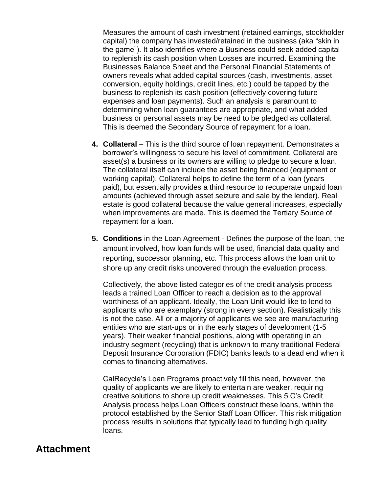Measures the amount of cash investment (retained earnings, stockholder capital) the company has invested/retained in the business (aka "skin in the game"). It also identifies where a Business could seek added capital to replenish its cash position when Losses are incurred. Examining the Businesses Balance Sheet and the Personal Financial Statements of owners reveals what added capital sources (cash, investments, asset conversion, equity holdings, credit lines, etc.) could be tapped by the business to replenish its cash position (effectively covering future expenses and loan payments). Such an analysis is paramount to determining when loan guarantees are appropriate, and what added business or personal assets may be need to be pledged as collateral. This is deemed the Secondary Source of repayment for a loan.

- **4. Collateral** This is the third source of loan repayment. Demonstrates a borrower's willingness to secure his level of commitment. Collateral are asset(s) a business or its owners are willing to pledge to secure a loan. The collateral itself can include the asset being financed (equipment or working capital). Collateral helps to define the term of a loan (years paid), but essentially provides a third resource to recuperate unpaid loan amounts (achieved through asset seizure and sale by the lender). Real estate is good collateral because the value general increases, especially when improvements are made. This is deemed the Tertiary Source of repayment for a loan.
- **5. Conditions** in the Loan Agreement Defines the purpose of the loan, the amount involved, how loan funds will be used, financial data quality and reporting, successor planning, etc. This process allows the loan unit to shore up any credit risks uncovered through the evaluation process.

Collectively, the above listed categories of the credit analysis process leads a trained Loan Officer to reach a decision as to the approval worthiness of an applicant. Ideally, the Loan Unit would like to lend to applicants who are exemplary (strong in every section). Realistically this is not the case. All or a majority of applicants we see are manufacturing entities who are start-ups or in the early stages of development (1-5 years). Their weaker financial positions, along with operating in an industry segment (recycling) that is unknown to many traditional Federal Deposit Insurance Corporation (FDIC) banks leads to a dead end when it comes to financing alternatives.

CalRecycle's Loan Programs proactively fill this need, however, the quality of applicants we are likely to entertain are weaker, requiring creative solutions to shore up credit weaknesses. This 5 C's Credit Analysis process helps Loan Officers construct these loans, within the protocol established by the Senior Staff Loan Officer. This risk mitigation process results in solutions that typically lead to funding high quality loans.

#### **Attachment**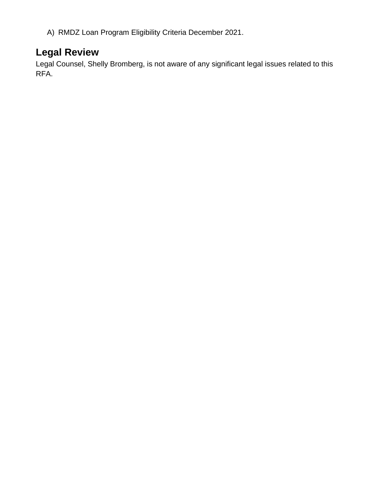A) RMDZ Loan Program Eligibility Criteria December 2021.

### **Legal Review**

Legal Counsel, Shelly Bromberg, is not aware of any significant legal issues related to this RFA.